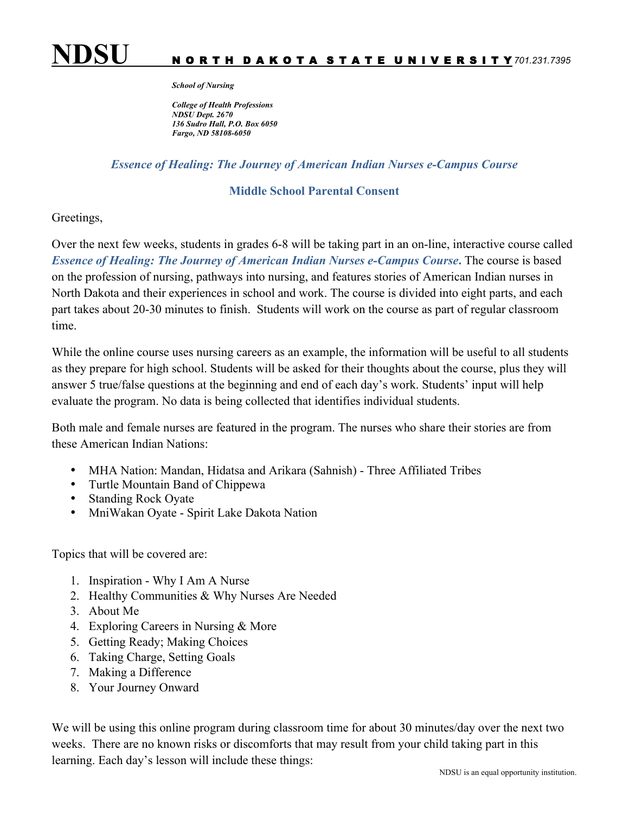

## *School of Nursing*

*College of Health Professions NDSU Dept. 2670 136 Sudro Hall, P.O. Box 6050 Fargo, ND 58108-6050*

## *Essence of Healing: The Journey of American Indian Nurses e-Campus Course*

## **Middle School Parental Consent**

## Greetings,

Over the next few weeks, students in grades 6-8 will be taking part in an on-line, interactive course called *Essence of Healing: The Journey of American Indian Nurses e-Campus Course***.** The course is based on the profession of nursing, pathways into nursing, and features stories of American Indian nurses in North Dakota and their experiences in school and work. The course is divided into eight parts, and each part takes about 20-30 minutes to finish. Students will work on the course as part of regular classroom time.

While the online course uses nursing careers as an example, the information will be useful to all students as they prepare for high school. Students will be asked for their thoughts about the course, plus they will answer 5 true/false questions at the beginning and end of each day's work. Students' input will help evaluate the program. No data is being collected that identifies individual students.

Both male and female nurses are featured in the program. The nurses who share their stories are from these American Indian Nations:

- MHA Nation: Mandan, Hidatsa and Arikara (Sahnish) Three Affiliated Tribes
- Turtle Mountain Band of Chippewa
- Standing Rock Oyate
- MniWakan Oyate Spirit Lake Dakota Nation

Topics that will be covered are:

- 1. Inspiration Why I Am A Nurse
- 2. Healthy Communities & Why Nurses Are Needed
- 3. About Me
- 4. Exploring Careers in Nursing & More
- 5. Getting Ready; Making Choices
- 6. Taking Charge, Setting Goals
- 7. Making a Difference
- 8. Your Journey Onward

We will be using this online program during classroom time for about 30 minutes/day over the next two weeks. There are no known risks or discomforts that may result from your child taking part in this learning. Each day's lesson will include these things: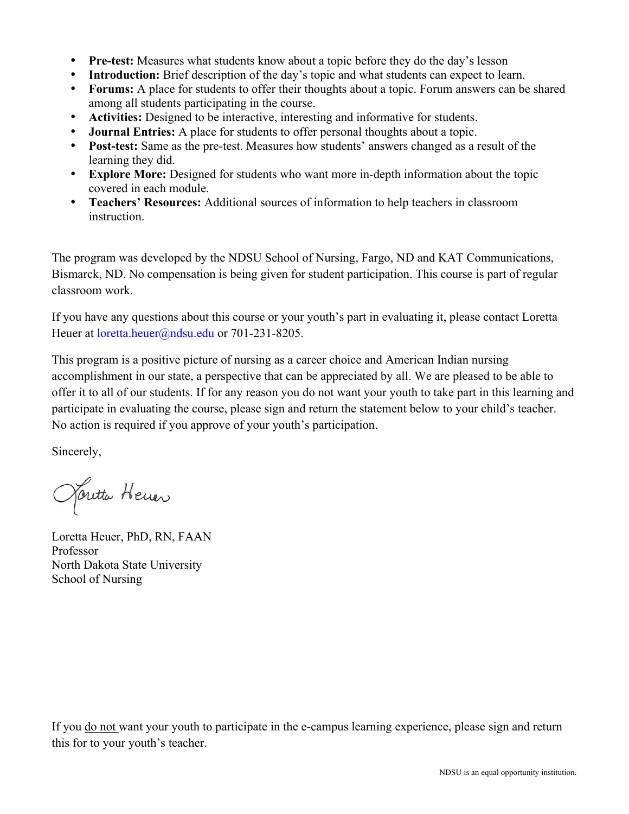- **Pre-test:** Measures what students know about a topic before they do the day's lesson
- **Introduction:** Brief description of the day's topic and what students can expect to learn.
- **Forums:** A place for students to offer their thoughts about a topic. Forum answers can be shared among all students participating in the course.
- **Activities:** Designed to be interactive, interesting and informative for students.
- **Journal Entries:** A place for students to offer personal thoughts about a topic.
- **Post-test:** Same as the pre-test. Measures how students' answers changed as a result of the learning they did.
- **Explore More:** Designed for students who want more in-depth information about the topic covered in each module.
- **Teachers' Resources:** Additional sources of information to help teachers in classroom instruction.

The program was developed by the NDSU School of Nursing, Fargo, ND and KAT Communications, Bismarck, ND. No compensation is being given for student participation. This course is part of regular classroom work.

If you have any questions about this course or your youth's part in evaluating it, please contact Loretta Heuer at *loretta.heuer@ndsu.edu* or 701-231-8205.

This program is a positive picture of nursing as a career choice and American Indian nursing accomplishment in our state, a perspective that can be appreciated by all. We are pleased to be able to offer it to all of our students. If for any reason you do not want your youth to take part in this learning and participate in evaluating the course, please sign and return the statement below to your child's teacher. No action is required if you approve of your youth's participation.

Sincerely,

Janetta Hener

Loretta Heuer, PhD, RN, FAAN Professor North Dakota State University School of Nursing

If you do not want your youth to participate in the e-campus learning experience, please sign and return this for to your youth's teacher.